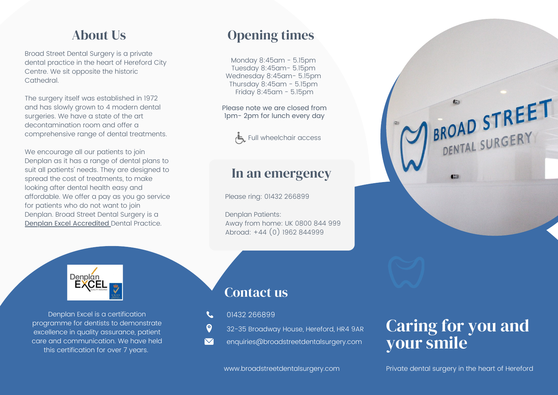Broad Street Dental Surgery is a private dental practice in the heart of Hereford City Centre. We sit opposite the historic Cathedral.

The surgery itself was established in 1972 and has slowly grown to 4 modern dental surgeries. We have a state of the art decontamination room and offer a comprehensive range of dental treatments.

We encourage all our patients to join Denplan as it has a range of dental plans to suit all patients' needs. They are designed to spread the cost of treatments, to make looking after dental health easy and affordable. We offer a pay as you go service for patients who do not want to join Denplan. Broad Street Dental Surgery is a Denplan Excel Accredited Dental Practice.

About Us **Opening times** 

Monday 8:45am - 5.15pm Tuesday 8:45am- 5.15pm Wednesday 8:45am- 5.15pm Thursday 8:45am - 5.15pm Friday 8:45am - 5.15pm

Please note we are closed from 1pm- 2pm for lunch every day



### In an emergency

Please ring: 01432 266899

Denplan Patients: Away from home: UK 0800 844 999 Abroad: +44 (0) 1962 844999



Denplan Excel is a certification programme for dentists to demonstrate excellence in quality assurance, patient care and communication. We have held this certification for over 7 years.

## Contact us

- 01432 266899
- $\boldsymbol{\Theta}$ 32-35 Broadway House, Hereford, HR4 9AR
- $\boldsymbol{\nabla}$ enquiries@broadstreetdentalsurgery.com

# Caring for you and your smile

 $C<sub>2</sub>$ 

BROAD STREET

BROAD STREERY